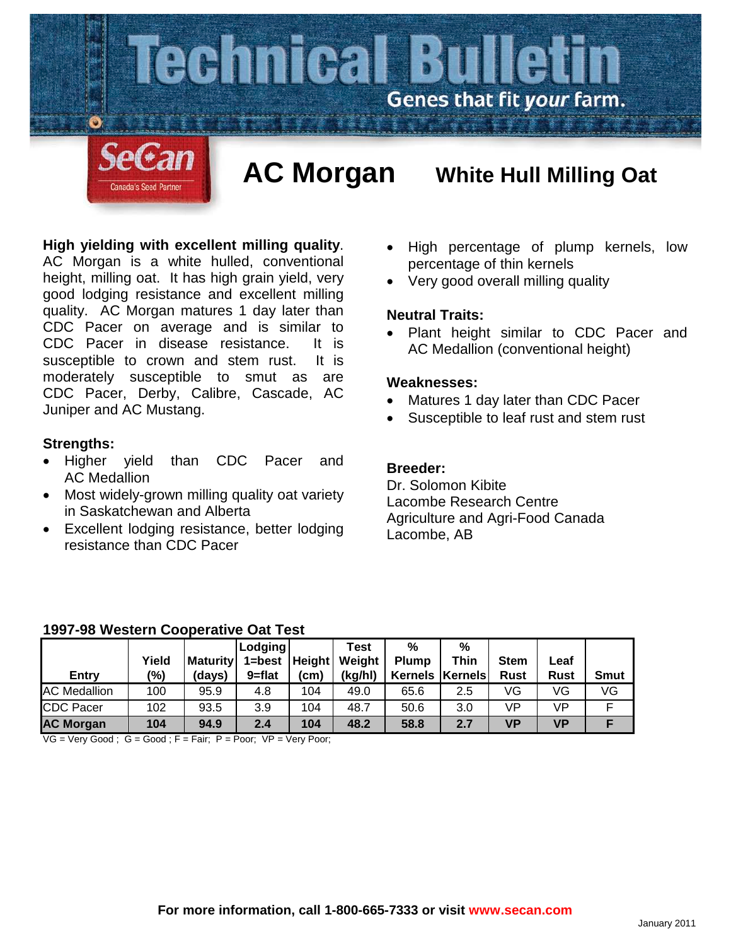

# **High yielding with excellent milling quality**.

AC Morgan is a white hulled, conventional height, milling oat. It has high grain yield, very good lodging resistance and excellent milling quality. AC Morgan matures 1 day later than CDC Pacer on average and is similar to CDC Pacer in disease resistance. It is susceptible to crown and stem rust. It is moderately susceptible to smut as are CDC Pacer, Derby, Calibre, Cascade, AC Juniper and AC Mustang.

## **Strengths:**

- Higher yield than CDC Pacer and AC Medallion
- Most widely-grown milling quality oat variety in Saskatchewan and Alberta
- Excellent lodging resistance, better lodging resistance than CDC Pacer
- High percentage of plump kernels, low percentage of thin kernels
- Very good overall milling quality

## **Neutral Traits:**

• Plant height similar to CDC Pacer and AC Medallion (conventional height)

#### **Weaknesses:**

- Matures 1 day later than CDC Pacer
- Susceptible to leaf rust and stem rust

## **Breeder:**

Dr. Solomon Kibite Lacombe Research Centre Agriculture and Agri-Food Canada Lacombe, AB

#### **1997-98 Western Cooperative Oat Test**

|                     |       |                 | <b>Lodging</b>    |      | Test    | %            | %                 |             |             |             |
|---------------------|-------|-----------------|-------------------|------|---------|--------------|-------------------|-------------|-------------|-------------|
|                     | Yield | <b>Maturity</b> | $1 = best$ Height |      | Weight  | <b>Plump</b> | Thin              | <b>Stem</b> | ∟eaf        |             |
| <b>Entry</b>        | (%)   | (days)          | $9 = flat$        | (cm) | (kg/hl) |              | Kernels   Kernels | <b>Rust</b> | <b>Rust</b> | <b>Smut</b> |
| <b>AC Medallion</b> | 100   | 95.9            | 4.8               | 104  | 49.0    | 65.6         | 2.5               | VG          | VG          | VG          |
| <b>CDC Pacer</b>    | 102   | 93.5            | 3.9               | 104  | 48.7    | 50.6         | 3.0               | VP          | VP          | E           |
| <b>AC Morgan</b>    | 104   | 94.9            | 2.4               | 104  | 48.2    | 58.8         | 2.7               | VP          | <b>VP</b>   |             |

 $VG = Very Good$ ;  $G = Good$ ;  $F = Fair$ ;  $P = Poor$ ;  $VP = Very Poor$ ;